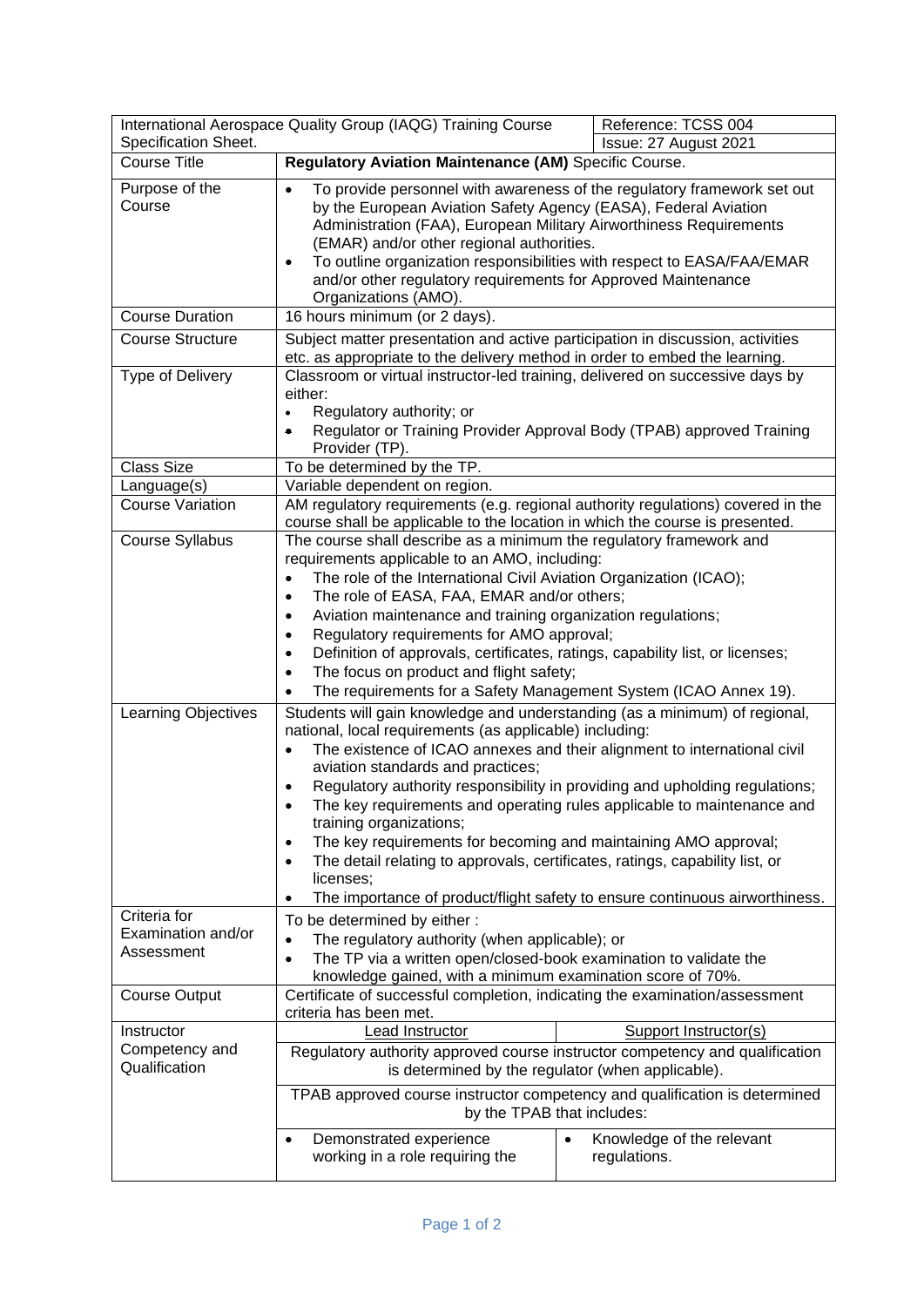| International Aerospace Quality Group (IAQG) Training Course<br>Specification Sheet. |                                                                                                                                                                                                                                                                                                                                                                                                                                                                                                                                                                                                                                                                                                                                                                                                                                                                                                                                                                                                                                                                                                                                                                                                                                                        | Reference: TCSS 004<br>Issue: 27 August 2021           |  |
|--------------------------------------------------------------------------------------|--------------------------------------------------------------------------------------------------------------------------------------------------------------------------------------------------------------------------------------------------------------------------------------------------------------------------------------------------------------------------------------------------------------------------------------------------------------------------------------------------------------------------------------------------------------------------------------------------------------------------------------------------------------------------------------------------------------------------------------------------------------------------------------------------------------------------------------------------------------------------------------------------------------------------------------------------------------------------------------------------------------------------------------------------------------------------------------------------------------------------------------------------------------------------------------------------------------------------------------------------------|--------------------------------------------------------|--|
| <b>Course Title</b>                                                                  | Regulatory Aviation Maintenance (AM) Specific Course.                                                                                                                                                                                                                                                                                                                                                                                                                                                                                                                                                                                                                                                                                                                                                                                                                                                                                                                                                                                                                                                                                                                                                                                                  |                                                        |  |
|                                                                                      |                                                                                                                                                                                                                                                                                                                                                                                                                                                                                                                                                                                                                                                                                                                                                                                                                                                                                                                                                                                                                                                                                                                                                                                                                                                        |                                                        |  |
| Purpose of the<br>Course                                                             | To provide personnel with awareness of the regulatory framework set out<br>$\bullet$<br>by the European Aviation Safety Agency (EASA), Federal Aviation<br>Administration (FAA), European Military Airworthiness Requirements<br>(EMAR) and/or other regional authorities.<br>To outline organization responsibilities with respect to EASA/FAA/EMAR<br>٠<br>and/or other regulatory requirements for Approved Maintenance<br>Organizations (AMO).                                                                                                                                                                                                                                                                                                                                                                                                                                                                                                                                                                                                                                                                                                                                                                                                     |                                                        |  |
| <b>Course Duration</b>                                                               | 16 hours minimum (or 2 days).                                                                                                                                                                                                                                                                                                                                                                                                                                                                                                                                                                                                                                                                                                                                                                                                                                                                                                                                                                                                                                                                                                                                                                                                                          |                                                        |  |
| <b>Course Structure</b>                                                              | Subject matter presentation and active participation in discussion, activities<br>etc. as appropriate to the delivery method in order to embed the learning.                                                                                                                                                                                                                                                                                                                                                                                                                                                                                                                                                                                                                                                                                                                                                                                                                                                                                                                                                                                                                                                                                           |                                                        |  |
| Type of Delivery                                                                     | Classroom or virtual instructor-led training, delivered on successive days by<br>either:<br>Regulatory authority; or<br>$\bullet$<br>Regulator or Training Provider Approval Body (TPAB) approved Training<br>٠<br>Provider (TP).                                                                                                                                                                                                                                                                                                                                                                                                                                                                                                                                                                                                                                                                                                                                                                                                                                                                                                                                                                                                                      |                                                        |  |
| <b>Class Size</b>                                                                    | To be determined by the TP.                                                                                                                                                                                                                                                                                                                                                                                                                                                                                                                                                                                                                                                                                                                                                                                                                                                                                                                                                                                                                                                                                                                                                                                                                            |                                                        |  |
| Language(s)                                                                          | Variable dependent on region.                                                                                                                                                                                                                                                                                                                                                                                                                                                                                                                                                                                                                                                                                                                                                                                                                                                                                                                                                                                                                                                                                                                                                                                                                          |                                                        |  |
| <b>Course Variation</b>                                                              | AM regulatory requirements (e.g. regional authority regulations) covered in the<br>course shall be applicable to the location in which the course is presented.                                                                                                                                                                                                                                                                                                                                                                                                                                                                                                                                                                                                                                                                                                                                                                                                                                                                                                                                                                                                                                                                                        |                                                        |  |
| Course Syllabus<br>Learning Objectives                                               | The course shall describe as a minimum the regulatory framework and<br>requirements applicable to an AMO, including:<br>The role of the International Civil Aviation Organization (ICAO);<br>$\bullet$<br>The role of EASA, FAA, EMAR and/or others;<br>$\bullet$<br>Aviation maintenance and training organization regulations;<br>٠<br>Regulatory requirements for AMO approval;<br>$\bullet$<br>Definition of approvals, certificates, ratings, capability list, or licenses;<br>٠<br>The focus on product and flight safety;<br>٠<br>The requirements for a Safety Management System (ICAO Annex 19).<br>٠<br>Students will gain knowledge and understanding (as a minimum) of regional,<br>national, local requirements (as applicable) including:<br>The existence of ICAO annexes and their alignment to international civil<br>$\bullet$<br>aviation standards and practices;<br>Regulatory authority responsibility in providing and upholding regulations;<br>The key requirements and operating rules applicable to maintenance and<br>training organizations;<br>The key requirements for becoming and maintaining AMO approval;<br>$\bullet$<br>The detail relating to approvals, certificates, ratings, capability list, or<br>$\bullet$ |                                                        |  |
|                                                                                      | licenses;                                                                                                                                                                                                                                                                                                                                                                                                                                                                                                                                                                                                                                                                                                                                                                                                                                                                                                                                                                                                                                                                                                                                                                                                                                              |                                                        |  |
| Criteria for<br>Examination and/or<br>Assessment                                     | The importance of product/flight safety to ensure continuous airworthiness.<br>To be determined by either:<br>The regulatory authority (when applicable); or<br>$\bullet$<br>The TP via a written open/closed-book examination to validate the<br>knowledge gained, with a minimum examination score of 70%.                                                                                                                                                                                                                                                                                                                                                                                                                                                                                                                                                                                                                                                                                                                                                                                                                                                                                                                                           |                                                        |  |
| <b>Course Output</b>                                                                 | Certificate of successful completion, indicating the examination/assessment<br>criteria has been met.                                                                                                                                                                                                                                                                                                                                                                                                                                                                                                                                                                                                                                                                                                                                                                                                                                                                                                                                                                                                                                                                                                                                                  |                                                        |  |
| Instructor                                                                           | Lead Instructor                                                                                                                                                                                                                                                                                                                                                                                                                                                                                                                                                                                                                                                                                                                                                                                                                                                                                                                                                                                                                                                                                                                                                                                                                                        | Support Instructor(s)                                  |  |
| Competency and<br>Qualification                                                      | Regulatory authority approved course instructor competency and qualification<br>is determined by the regulator (when applicable).                                                                                                                                                                                                                                                                                                                                                                                                                                                                                                                                                                                                                                                                                                                                                                                                                                                                                                                                                                                                                                                                                                                      |                                                        |  |
|                                                                                      | TPAB approved course instructor competency and qualification is determined<br>by the TPAB that includes:                                                                                                                                                                                                                                                                                                                                                                                                                                                                                                                                                                                                                                                                                                                                                                                                                                                                                                                                                                                                                                                                                                                                               |                                                        |  |
|                                                                                      | Demonstrated experience<br>$\bullet$<br>working in a role requiring the                                                                                                                                                                                                                                                                                                                                                                                                                                                                                                                                                                                                                                                                                                                                                                                                                                                                                                                                                                                                                                                                                                                                                                                | Knowledge of the relevant<br>$\bullet$<br>regulations. |  |